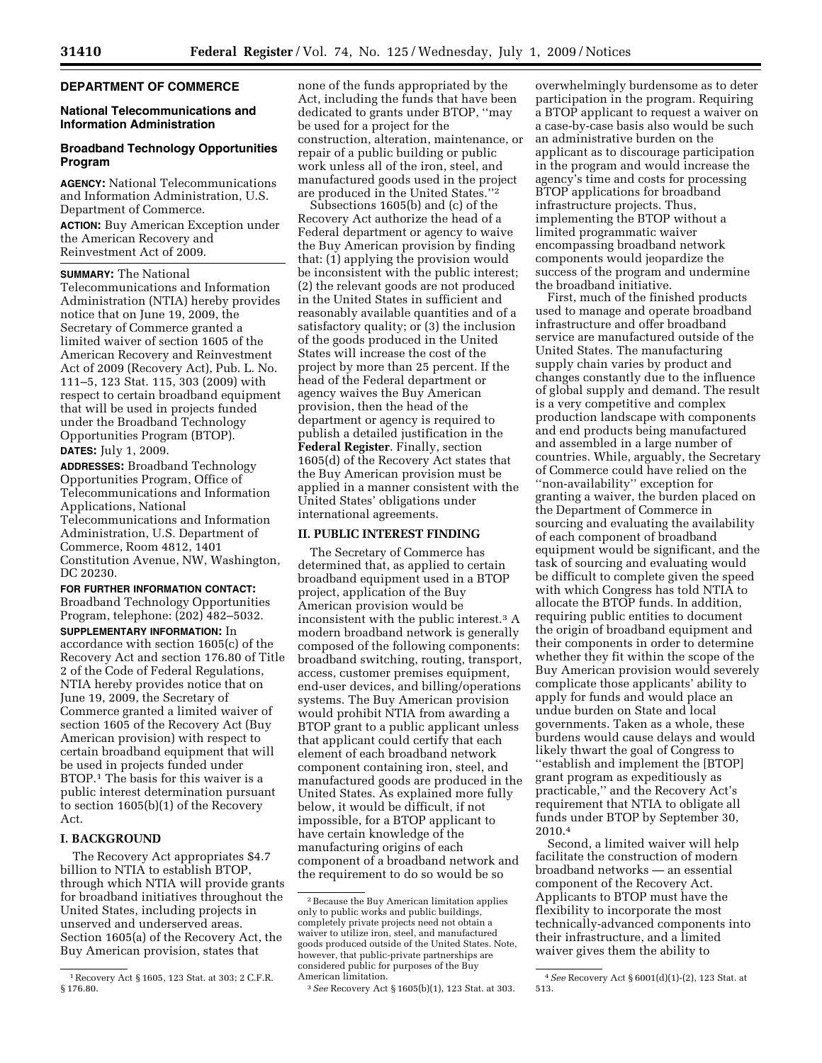# **DEPARTMENT OF COMMERCE**

## **National Telecommunications and Information Administration**

# **Broadband Technology Opportunities Program**

**AGENCY:** National Telecommunications and Information Administration, U.S. Department of Commerce.

**ACTION:** Buy American Exception under the American Recovery and Reinvestment Act of 2009.

**SUMMARY:** The National Telecommunications and Information Administration (NTIA) hereby provides notice that on June 19, 2009, the Secretary of Commerce granted a limited waiver of section 1605 of the American Recovery and Reinvestment Act of 2009 (Recovery Act), Pub. L. No. 111–5, 123 Stat. 115, 303 (2009) with respect to certain broadband equipment that will be used in projects funded under the Broadband Technology Opportunities Program (BTOP).

**DATES:** July 1, 2009.

**ADDRESSES:** Broadband Technology Opportunities Program, Office of Telecommunications and Information Applications, National Telecommunications and Information Administration, U.S. Department of Commerce, Room 4812, 1401 Constitution Avenue, NW, Washington, DC 20230.

**FOR FURTHER INFORMATION CONTACT:**  Broadband Technology Opportunities Program, telephone: (202) 482–5032. **SUPPLEMENTARY INFORMATION:** In accordance with section 1605(c) of the Recovery Act and section 176.80 of Title 2 of the Code of Federal Regulations, NTIA hereby provides notice that on June 19, 2009, the Secretary of Commerce granted a limited waiver of section 1605 of the Recovery Act (Buy American provision) with respect to certain broadband equipment that will be used in projects funded under BTOP.1 The basis for this waiver is a public interest determination pursuant to section 1605(b)(1) of the Recovery Act.

# **I. BACKGROUND**

The Recovery Act appropriates \$4.7 billion to NTIA to establish BTOP, through which NTIA will provide grants for broadband initiatives throughout the United States, including projects in unserved and underserved areas. Section 1605(a) of the Recovery Act, the Buy American provision, states that

none of the funds appropriated by the Act, including the funds that have been dedicated to grants under BTOP, ''may be used for a project for the construction, alteration, maintenance, or repair of a public building or public work unless all of the iron, steel, and manufactured goods used in the project are produced in the United States.''2

Subsections 1605(b) and (c) of the Recovery Act authorize the head of a Federal department or agency to waive the Buy American provision by finding that: (1) applying the provision would be inconsistent with the public interest; (2) the relevant goods are not produced in the United States in sufficient and reasonably available quantities and of a satisfactory quality; or (3) the inclusion of the goods produced in the United States will increase the cost of the project by more than 25 percent. If the head of the Federal department or agency waives the Buy American provision, then the head of the department or agency is required to publish a detailed justification in the **Federal Register**. Finally, section 1605(d) of the Recovery Act states that the Buy American provision must be applied in a manner consistent with the United States' obligations under international agreements.

#### **II. PUBLIC INTEREST FINDING**

The Secretary of Commerce has determined that, as applied to certain broadband equipment used in a BTOP project, application of the Buy American provision would be inconsistent with the public interest.3 A modern broadband network is generally composed of the following components: broadband switching, routing, transport, access, customer premises equipment, end-user devices, and billing/operations systems. The Buy American provision would prohibit NTIA from awarding a BTOP grant to a public applicant unless that applicant could certify that each element of each broadband network component containing iron, steel, and manufactured goods are produced in the United States. As explained more fully below, it would be difficult, if not impossible, for a BTOP applicant to have certain knowledge of the manufacturing origins of each component of a broadband network and the requirement to do so would be so

overwhelmingly burdensome as to deter participation in the program. Requiring a BTOP applicant to request a waiver on a case-by-case basis also would be such an administrative burden on the applicant as to discourage participation in the program and would increase the agency's time and costs for processing BTOP applications for broadband infrastructure projects. Thus, implementing the BTOP without a limited programmatic waiver encompassing broadband network components would jeopardize the success of the program and undermine the broadband initiative.

First, much of the finished products used to manage and operate broadband infrastructure and offer broadband service are manufactured outside of the United States. The manufacturing supply chain varies by product and changes constantly due to the influence of global supply and demand. The result is a very competitive and complex production landscape with components and end products being manufactured and assembled in a large number of countries. While, arguably, the Secretary of Commerce could have relied on the ''non-availability'' exception for granting a waiver, the burden placed on the Department of Commerce in sourcing and evaluating the availability of each component of broadband equipment would be significant, and the task of sourcing and evaluating would be difficult to complete given the speed with which Congress has told NTIA to allocate the BTOP funds. In addition, requiring public entities to document the origin of broadband equipment and their components in order to determine whether they fit within the scope of the Buy American provision would severely complicate those applicants' ability to apply for funds and would place an undue burden on State and local governments. Taken as a whole, these burdens would cause delays and would likely thwart the goal of Congress to ''establish and implement the [BTOP] grant program as expeditiously as practicable,'' and the Recovery Act's requirement that NTIA to obligate all funds under BTOP by September 30, 2010.4

Second, a limited waiver will help facilitate the construction of modern broadband networks — an essential component of the Recovery Act. Applicants to BTOP must have the flexibility to incorporate the most technically-advanced components into their infrastructure, and a limited waiver gives them the ability to

<sup>1</sup>Recovery Act § 1605, 123 Stat. at 303; 2 C.F.R. § 176.80.

<sup>2</sup>Because the Buy American limitation applies only to public works and public buildings, completely private projects need not obtain a waiver to utilize iron, steel, and manufactured goods produced outside of the United States. Note, however, that public-private partnerships are considered public for purposes of the Buy American limitation.

<sup>3</sup>*See* Recovery Act § 1605(b)(1), 123 Stat. at 303.

<sup>4</sup>*See* Recovery Act § 6001(d)(1)-(2), 123 Stat. at 513.